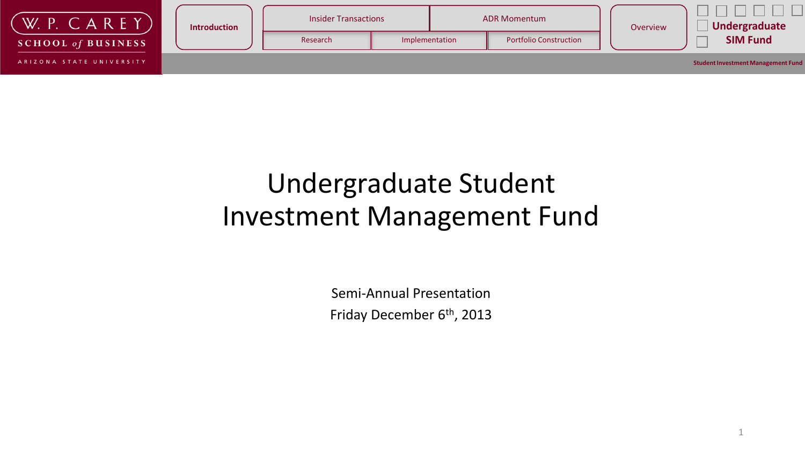

### Undergraduate Student Investment Management Fund

Semi-Annual Presentation Friday December 6<sup>th</sup>, 2013

1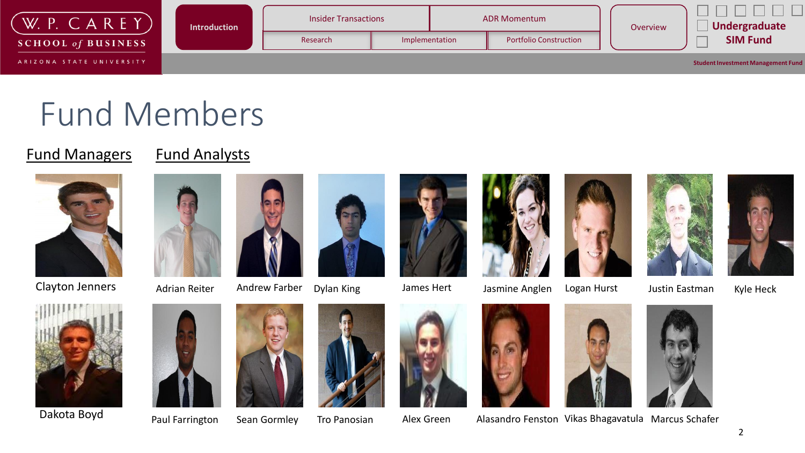

# Fund Members

#### **Fund Managers** Fund Analysts



Clayton Jenners Adrian Reiter Andrew Farber Dylan King James Hert









Jasmine Anglen Logan Hurst







Dakota Boyd















Paul Farrington Sean Gormley Tro Panosian Malex Green Alasandro Fenston Vikas Bhagavatula Marcus Schafer

Justin Eastman

Kyle Heck



2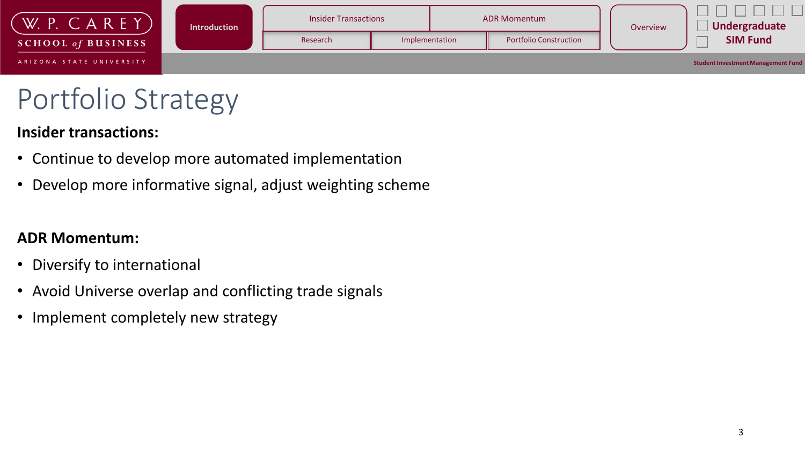

# Portfolio Strategy

#### **Insider transactions:**

- Continue to develop more automated implementation
- Develop more informative signal, adjust weighting scheme

#### **ADR Momentum:**

- Diversify to international
- Avoid Universe overlap and conflicting trade signals
- Implement completely new strategy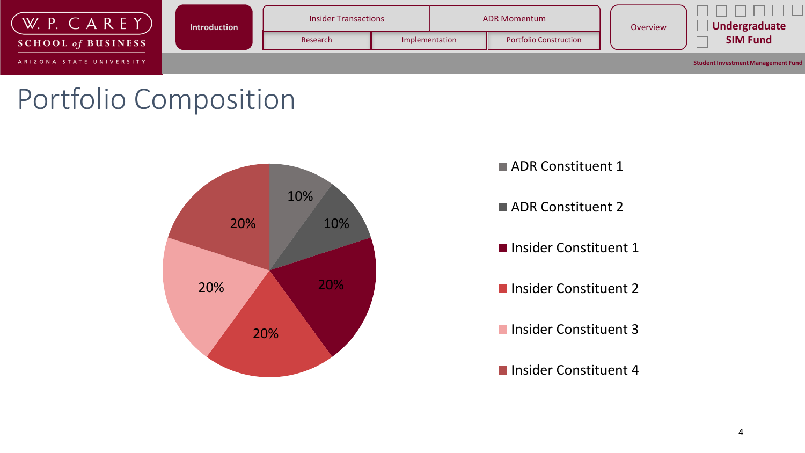

# Portfolio Composition





ADR Constituent 2

**Insider Constituent 1** 

**Insider Constituent 2** 

**Insider Constituent 3** 

■ Insider Constituent 4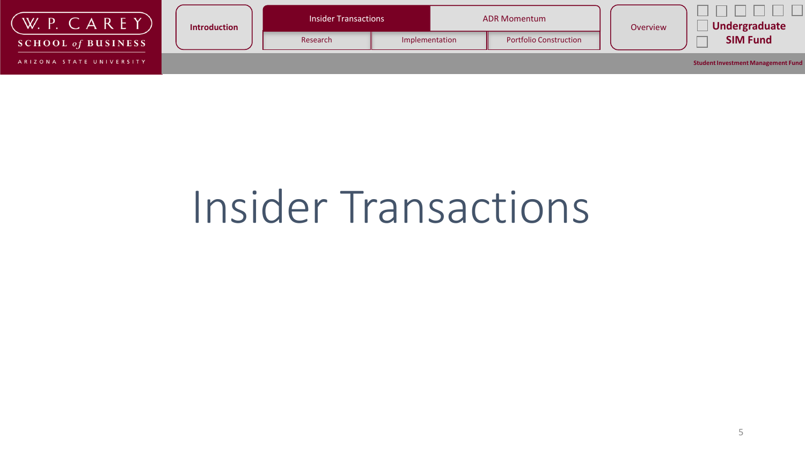| W. P.<br>AREY             | <b>Introduction</b> | <b>Insider Transactions</b> |                                                 | <b>ADR Momentum</b> | Overview | Undergraduate                             |  |
|---------------------------|---------------------|-----------------------------|-------------------------------------------------|---------------------|----------|-------------------------------------------|--|
| <b>SCHOOL of BUSINESS</b> |                     | Research                    | <b>Portfolio Construction</b><br>Implementation |                     |          | <b>SIM Fund</b>                           |  |
| ARIZONA STATE UNIVERSITY  |                     |                             |                                                 |                     |          | <b>Student Investment Management Fund</b> |  |

# Insider Transactions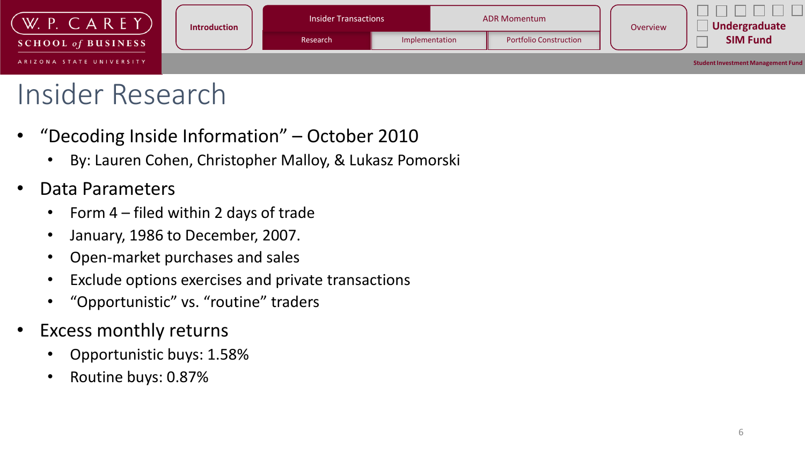

# Insider Research

- "Decoding Inside Information" October 2010
	- By: Lauren Cohen, Christopher Malloy, & Lukasz Pomorski
- Data Parameters
	- Form 4 filed within 2 days of trade
	- January, 1986 to December, 2007.
	- Open-market purchases and sales
	- Exclude options exercises and private transactions
	- "Opportunistic" vs. "routine" traders
- Excess monthly returns
	- Opportunistic buys: 1.58%
	- Routine buys: 0.87%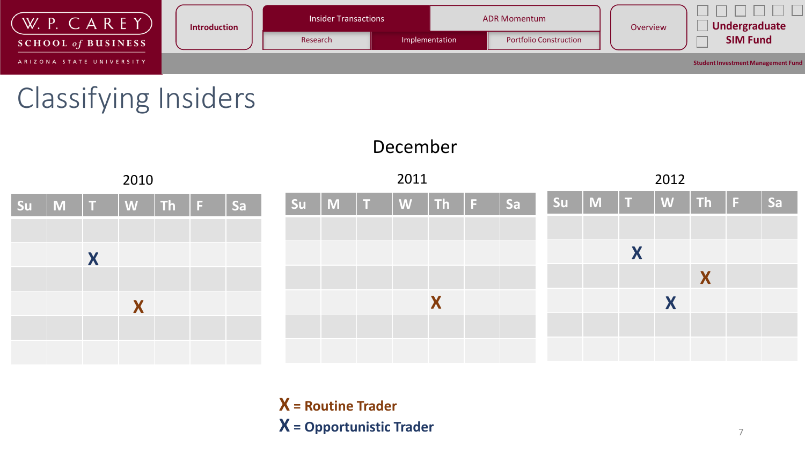

# Classifying Insiders



December

**X = Routine Trader X = Opportunistic Trader**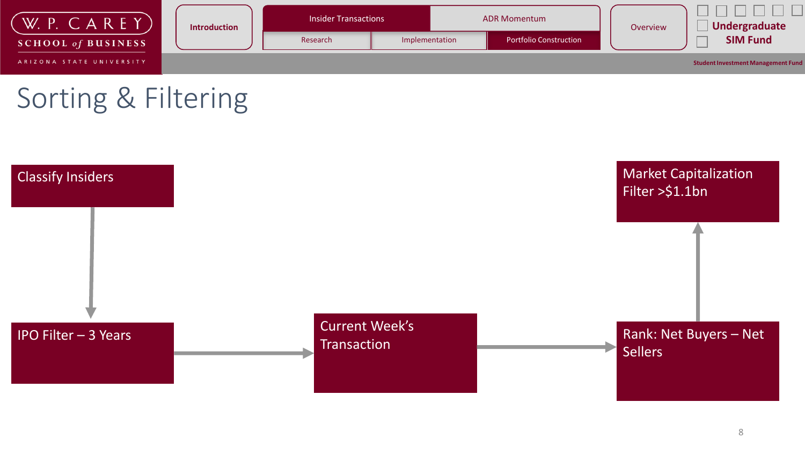

# Sorting & Filtering

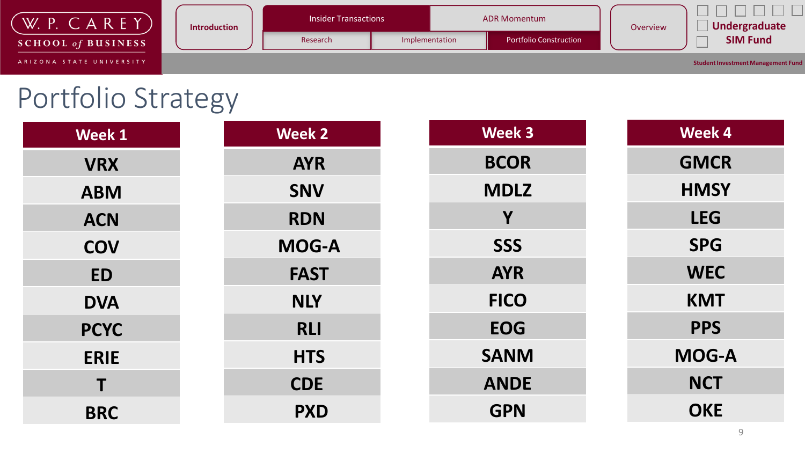| AREY<br>W.<br>D.          | <b>Introduction</b> | <b>Insider Transactions</b> |                | <b>ADR Momentum</b>           | Overview | Undergraduate                             |  |
|---------------------------|---------------------|-----------------------------|----------------|-------------------------------|----------|-------------------------------------------|--|
| <b>SCHOOL of BUSINESS</b> |                     | Research                    | Implementation | <b>Portfolio Construction</b> |          | <b>SIM Fund</b>                           |  |
| ARIZONA STATE UNIVERSITY  |                     |                             |                |                               |          | <b>Student Investment Management Fund</b> |  |

# Portfolio Strategy

| <b>Week 1</b> | <b>Week 2</b> | <b>Week 3</b> | Week 4       |
|---------------|---------------|---------------|--------------|
| <b>VRX</b>    | <b>AYR</b>    | <b>BCOR</b>   | <b>GMCR</b>  |
| <b>ABM</b>    | <b>SNV</b>    | <b>MDLZ</b>   | <b>HMSY</b>  |
| <b>ACN</b>    | <b>RDN</b>    | Y             | <b>LEG</b>   |
| <b>COV</b>    | <b>MOG-A</b>  | <b>SSS</b>    | <b>SPG</b>   |
| <b>ED</b>     | <b>FAST</b>   | <b>AYR</b>    | <b>WEC</b>   |
| <b>DVA</b>    | <b>NLY</b>    | <b>FICO</b>   | <b>KMT</b>   |
| <b>PCYC</b>   | <b>RLI</b>    | <b>EOG</b>    | <b>PPS</b>   |
| <b>ERIE</b>   | <b>HTS</b>    | <b>SANM</b>   | <b>MOG-A</b> |
| Τ             | <b>CDE</b>    | <b>ANDE</b>   | <b>NCT</b>   |
| <b>BRC</b>    | <b>PXD</b>    | <b>GPN</b>    | <b>OKE</b>   |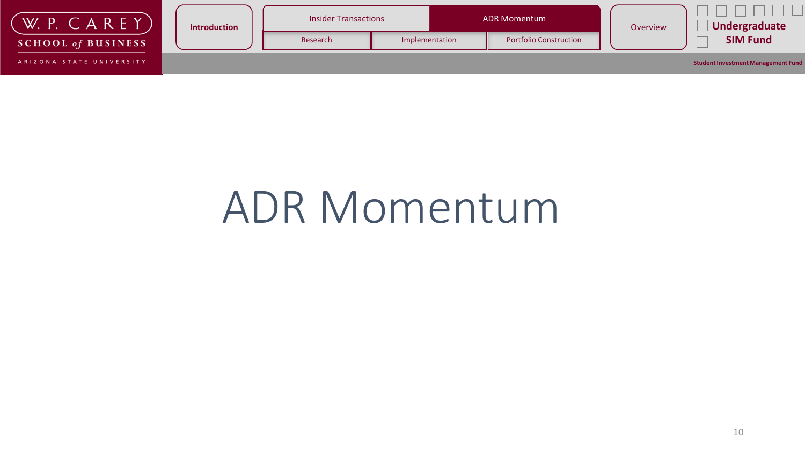| W. P. $C$ A R E Y         | <b>Introduction</b> | <b>Insider Transactions</b> |                | <b>ADR Momentum</b>           | Overview | Undergraduate                             |  |
|---------------------------|---------------------|-----------------------------|----------------|-------------------------------|----------|-------------------------------------------|--|
| <b>SCHOOL of BUSINESS</b> |                     | Research                    | Implementation | <b>Portfolio Construction</b> |          | <b>SIM Fund</b>                           |  |
| ARIZONA STATE UNIVERSITY  |                     |                             |                |                               |          | <b>Student Investment Management Fund</b> |  |

# ADR Momentum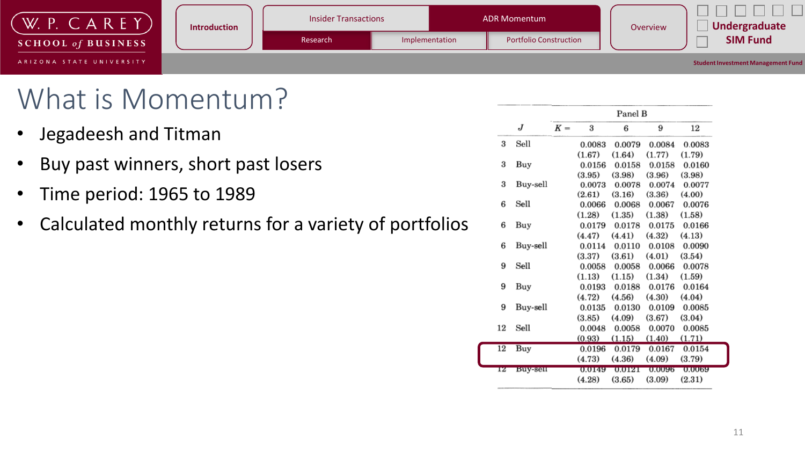| W. P. $CAREY$ )           | <b>Introduction</b> | <b>Insider Transactions</b> |                | <b>ADR Momentum</b>           | Overview | Undergraduate                             |
|---------------------------|---------------------|-----------------------------|----------------|-------------------------------|----------|-------------------------------------------|
| <b>SCHOOL of BUSINESS</b> |                     | Research                    | Implementation | <b>Portfolio Construction</b> |          | <b>SIM Fund</b>                           |
| ARIZONA STATE UNIVERSITY  |                     |                             |                |                               |          | <b>Student Investment Management Fund</b> |

## What is Momentum?

- Jegadeesh and Titman
- Buy past winners, short past losers
- Time period: 1965 to 1989
- Calculated monthly returns for a variety of portfolios

|    |          |       |        | Panel B |        |        |
|----|----------|-------|--------|---------|--------|--------|
|    | J        | $K =$ | 3      | 6       | 9      | 12     |
| 3  | Sell     |       | 0.0083 | 0.0079  | 0.0084 | 0.0083 |
|    |          |       | (1.67) | (1.64)  | (1.77) | (1.79) |
| 3  | Buy      |       | 0.0156 | 0.0158  | 0.0158 | 0.0160 |
|    |          |       | (3.95) | (3.98)  | (3.96) | (3.98) |
| 3  | Buy-sell |       | 0.0073 | 0.0078  | 0.0074 | 0.0077 |
|    |          |       | (2.61) | (3.16)  | (3.36) | (4.00) |
| 6  | Sell     |       | 0.0066 | 0.0068  | 0.0067 | 0.0076 |
|    |          |       | (1.28) | (1.35)  | (1.38) | (1.58) |
| 6  | Buy      |       | 0.0179 | 0.0178  | 0.0175 | 0.0166 |
|    |          |       | (4.47) | (4.41)  | (4.32) | (4.13) |
| 6  | Buy-sell |       | 0.0114 | 0.0110  | 0.0108 | 0.0090 |
|    |          |       | (3.37) | (3.61)  | (4.01) | (3.54) |
| 9  | Sell     |       | 0.0058 | 0.0058  | 0.0066 | 0.0078 |
|    |          |       | (1.13) | (1.15)  | (1.34) | (1.59) |
| 9  | Buy      |       | 0.0193 | 0.0188  | 0.0176 | 0.0164 |
|    |          |       | (4.72) | (4.56)  | (4.30) | (4.04) |
| 9  | Buy-sell |       | 0.0135 | 0.0130  | 0.0109 | 0.0085 |
|    |          |       | (3.85) | (4.09)  | (3.67) | (3.04) |
| 12 | Sell     |       | 0.0048 | 0.0058  | 0.0070 | 0.0085 |
|    |          |       | (0.93) | (1.15)  | (1.40) | (1.71) |
| 12 | Buy      |       | 0.0196 | 0.0179  | 0.0167 | 0.0154 |
|    |          |       | (4.73) | (4.36)  | (4.09) | (3.79) |
| 12 | Buy-sell |       | 0.0149 | 0.0121  | 0.0096 | 0.0069 |
|    |          |       | (4.28) | (3.65)  | (3.09) | (2.31) |
|    |          |       |        |         |        |        |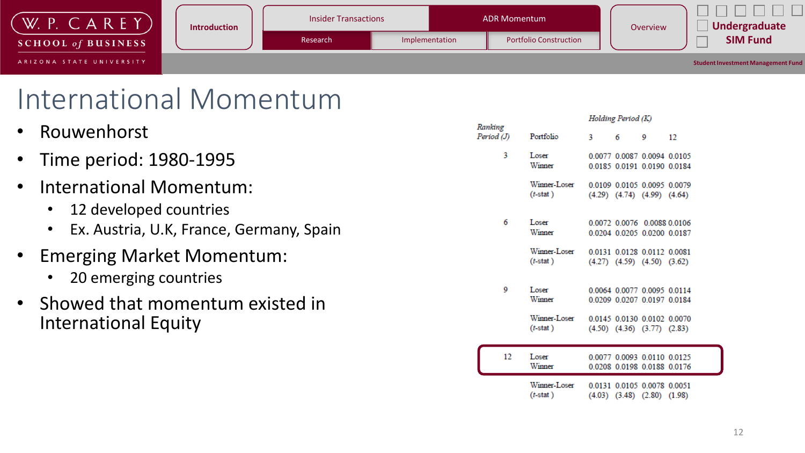

### International Momentum

|           | • Rouwenhorst                                                     | Ranking<br>Period (J) | Portfolio                                      | 3 | 6 | 9                                                                                                                                | 12 |
|-----------|-------------------------------------------------------------------|-----------------------|------------------------------------------------|---|---|----------------------------------------------------------------------------------------------------------------------------------|----|
|           | • Time period: 1980-1995                                          | 3                     | Loser<br>Winner                                |   |   | 0.0077 0.0087 0.0094 0.0105<br>0.0185 0.0191 0.0190 0.0184                                                                       |    |
| $\bullet$ | International Momentum:<br>12 developed countries<br>$\bullet$    |                       | Winner-Loser<br>$(t$ -stat)                    |   |   | 0.0109 0.0105 0.0095 0.0079<br>$(4.29)$ $(4.74)$ $(4.99)$ $(4.64)$                                                               |    |
|           | Ex. Austria, U.K. France, Germany, Spain<br>$\bullet$             | 6                     | Loser<br>Winner                                |   |   | 0.0072 0.0076 0.0088 0.0106<br>0.0204 0.0205 0.0200 0.0187                                                                       |    |
|           | • Emerging Market Momentum:<br>20 emerging countries<br>$\bullet$ |                       | Winner-Loser<br>$(t - \text{stat})$            |   |   | 0.0131 0.0128 0.0112 0.0081<br>$(4.27)$ $(4.59)$ $(4.50)$ $(3.62)$                                                               |    |
|           | • Showed that momentum existed in<br><b>International Equity</b>  | 9                     | Loser<br>Winner<br>Winner-Loser<br>$(t$ -stat) |   |   | 0.0064 0.0077 0.0095 0.0114<br>0.0209 0.0207 0.0197 0.0184<br>0.0145 0.0130 0.0102 0.0070<br>$(4.50)$ $(4.36)$ $(3.77)$ $(2.83)$ |    |
|           |                                                                   | 12                    | Loser<br>Winner                                |   |   | 0.0077 0.0093 0.0110 0.0125<br>0.0208 0.0198 0.0188 0.0176                                                                       |    |
|           |                                                                   |                       | Winner-Loser                                   |   |   | 0.0131 0.0105 0.0078 0.0051                                                                                                      |    |

Holding Period (K)

 $(4.03)$   $(3.48)$   $(2.80)$   $(1.98)$ 

 $(t$ -stat)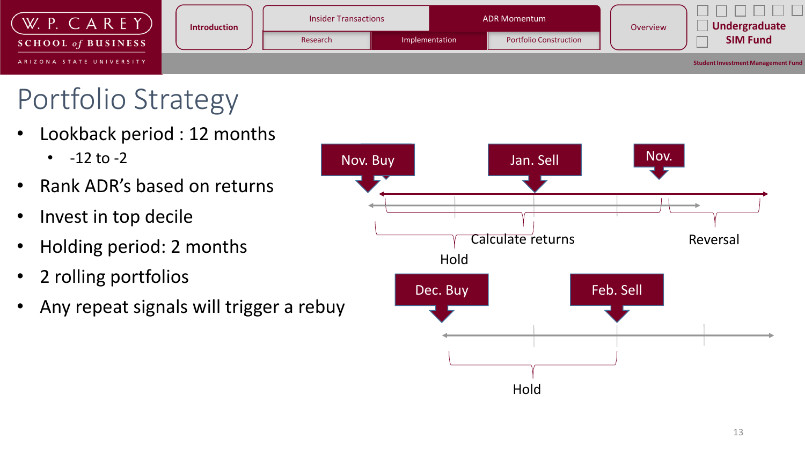

# Portfolio Strategy

- Lookback period : 12 months
	- $-12$  to  $-2$
- Rank ADR's based on returns
- Invest in top decile
- Holding period: 2 months
- 2 rolling portfolios
- Any repeat signals will trigger a rebuy

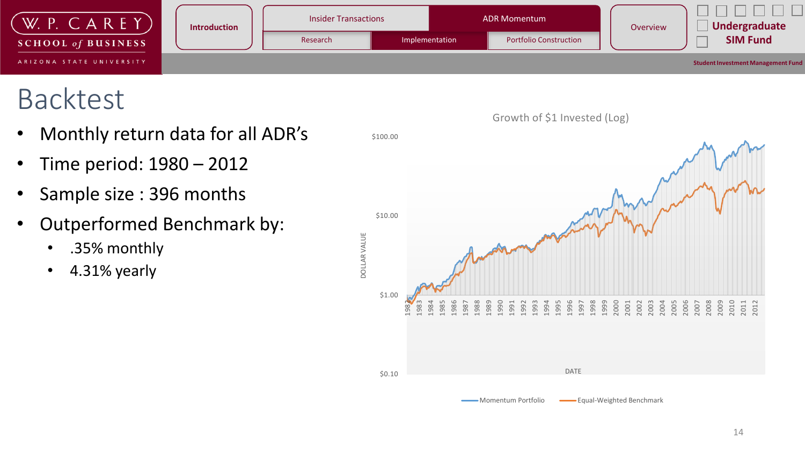

# Backtest

- Monthly return data for all ADR's
- Time period: 1980 2012
- Sample size : 396 months
- Outperformed Benchmark by:
	- .35% monthly
	- 4.31% yearly

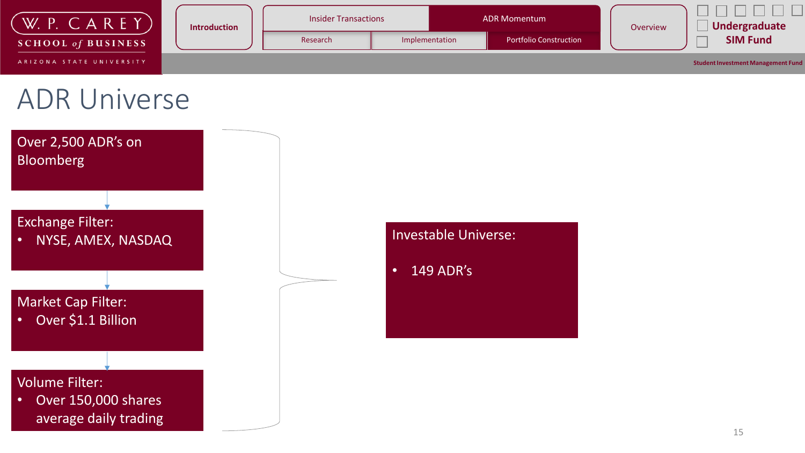

### ADR Universe



- Investable Universe:
- 149 ADR's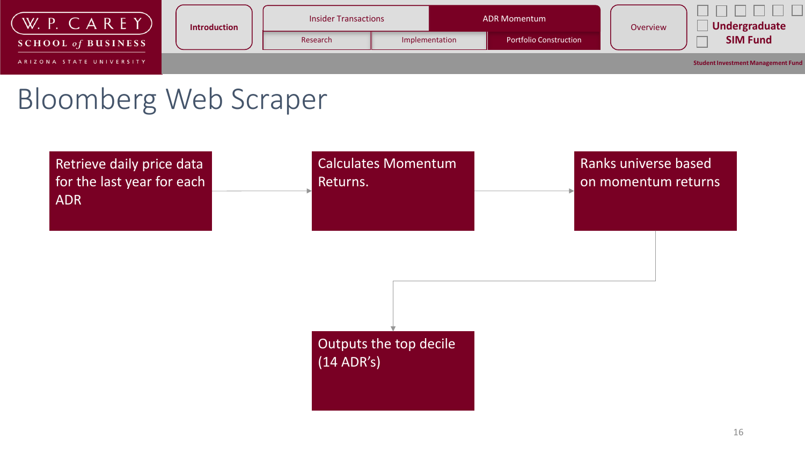

### Bloomberg Web Scraper

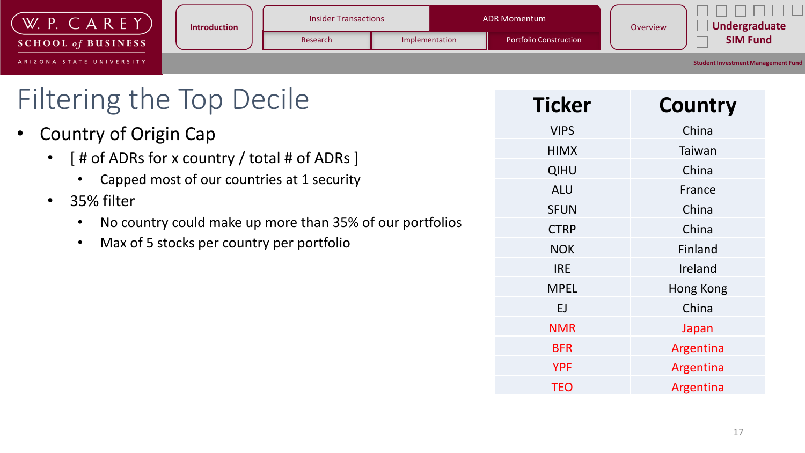| W.P. CAREY                | <b>Introduction</b> | <b>Insider Transactions</b> |                | <b>ADR Momentum</b>           |          | Undergraduate                             |
|---------------------------|---------------------|-----------------------------|----------------|-------------------------------|----------|-------------------------------------------|
| <b>SCHOOL of BUSINESS</b> |                     | Research                    | Implementation | <b>Portfolio Construction</b> | Overview | <b>SIM Fund</b>                           |
| ARIZONA STATE UNIVERSITY  |                     |                             |                |                               |          | <b>Student Investment Management Fund</b> |

| <b>Filtering the Top Decile</b>                                       |  |
|-----------------------------------------------------------------------|--|
| <b>Country of Origin Cap</b>                                          |  |
| • [# of ADRs for x country / total # of ADRs ]                        |  |
| Capped most of our countries at 1 security                            |  |
| • 35% filter                                                          |  |
| No country could make up more than 35% of our portfolios<br>$\bullet$ |  |
| Max of 5 stocks per country per portfolio<br>$\bullet$                |  |
|                                                                       |  |
|                                                                       |  |
|                                                                       |  |
|                                                                       |  |

| Country   |
|-----------|
| China     |
| Taiwan    |
| China     |
| France    |
| China     |
| China     |
| Finland   |
| Ireland   |
| Hong Kong |
| China     |
| Japan     |
| Argentina |
| Argentina |
| Argentina |
|           |

 $\Box$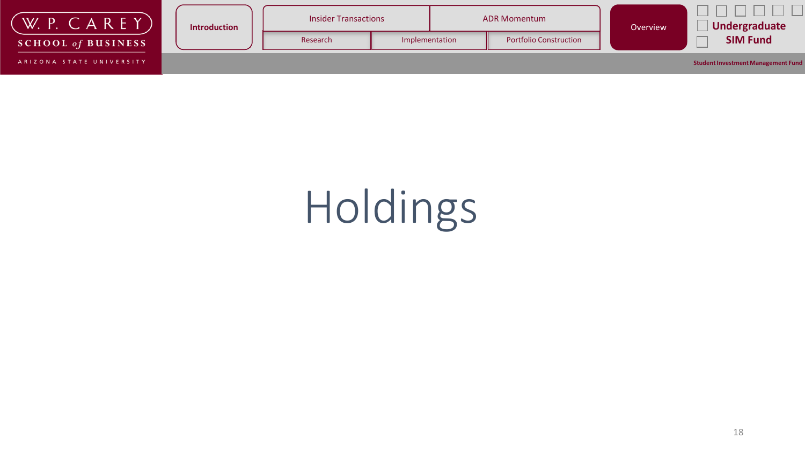| W. P. $CAREY$             | <b>Introduction</b> |          | <b>Insider Transactions</b><br><b>ADR Momentum</b> |  | Overview                      | Undergraduate |                                           |
|---------------------------|---------------------|----------|----------------------------------------------------|--|-------------------------------|---------------|-------------------------------------------|
| <b>SCHOOL of BUSINESS</b> |                     | Research | Implementation                                     |  | <b>Portfolio Construction</b> |               | <b>SIM Fund</b>                           |
| ARIZONA STATE UNIVERSITY  |                     |          |                                                    |  |                               |               | <b>Student Investment Management Fund</b> |

# Holdings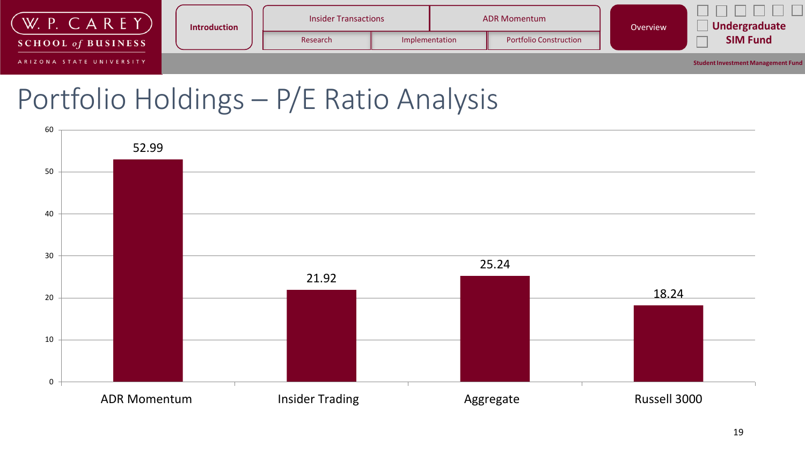

### Portfolio Holdings – P/E Ratio Analysis

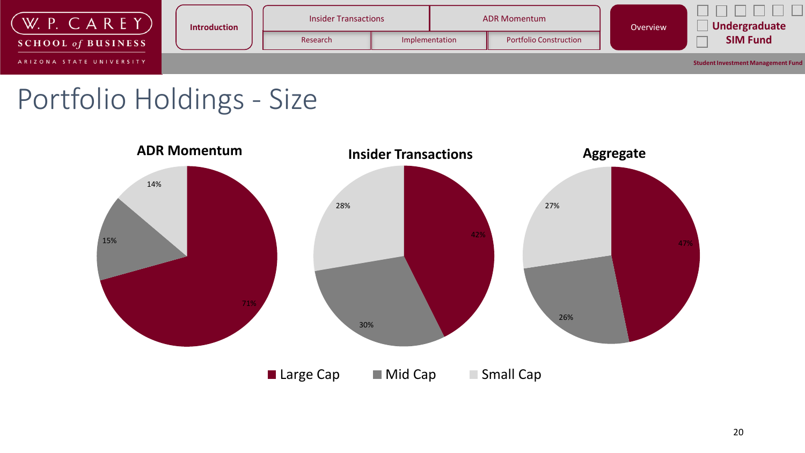

### Portfolio Holdings - Size

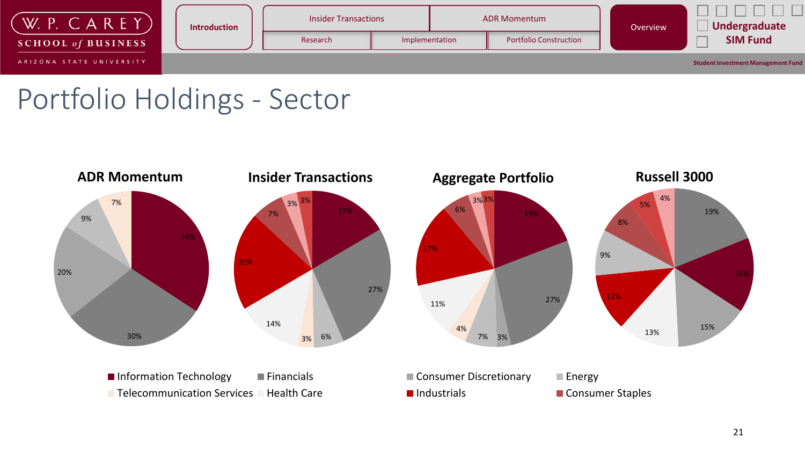

### Portfolio Holdings - Sector

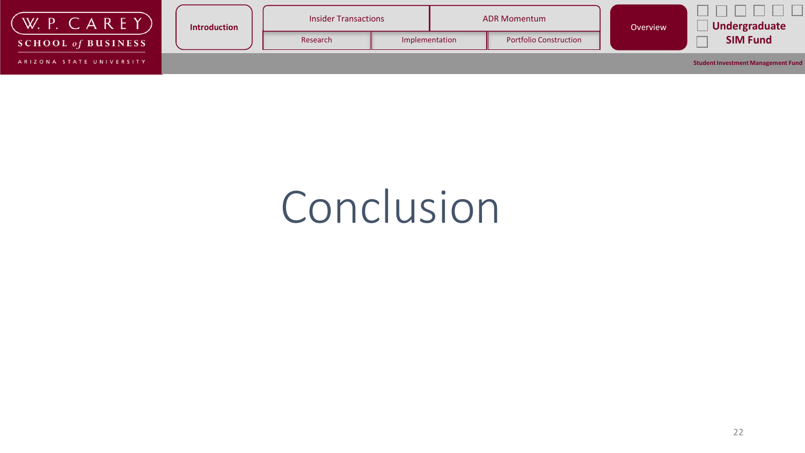| CAREYY<br><b>W.</b> P.    | <b>Introduction</b> | <b>Insider Transactions</b> |                |  | <b>ADR Momentum</b>           |  | Undergraduate                             |
|---------------------------|---------------------|-----------------------------|----------------|--|-------------------------------|--|-------------------------------------------|
| <b>SCHOOL of BUSINESS</b> |                     | Research                    | Implementation |  | <b>Portfolio Construction</b> |  | <b>SIM Fund</b>                           |
| ARIZONA STATE UNIVERSITY  |                     |                             |                |  |                               |  | <b>Student Investment Management Fund</b> |

# Conclusion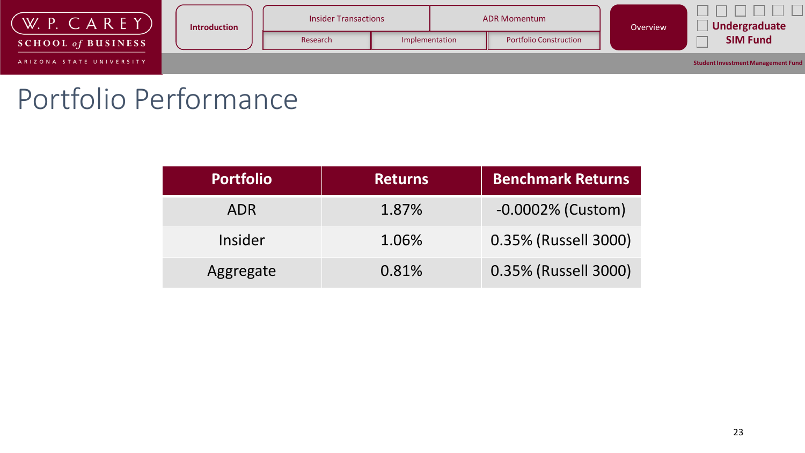

### Portfolio Performance

| <b>Portfolio</b> | <b>Returns</b> | <b>Benchmark Returns</b> |
|------------------|----------------|--------------------------|
| <b>ADR</b>       | 1.87%          | $-0.0002\%$ (Custom)     |
| Insider          | 1.06%          | 0.35% (Russell 3000)     |
| Aggregate        | 0.81%          | 0.35% (Russell 3000)     |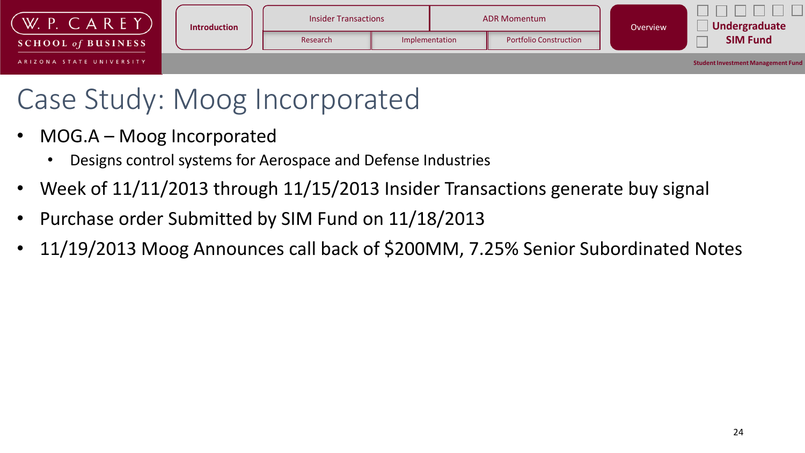

# Case Study: Moog Incorporated

- MOG.A Moog Incorporated
	- Designs control systems for Aerospace and Defense Industries
- Week of 11/11/2013 through 11/15/2013 Insider Transactions generate buy signal
- Purchase order Submitted by SIM Fund on 11/18/2013
- 11/19/2013 Moog Announces call back of \$200MM, 7.25% Senior Subordinated Notes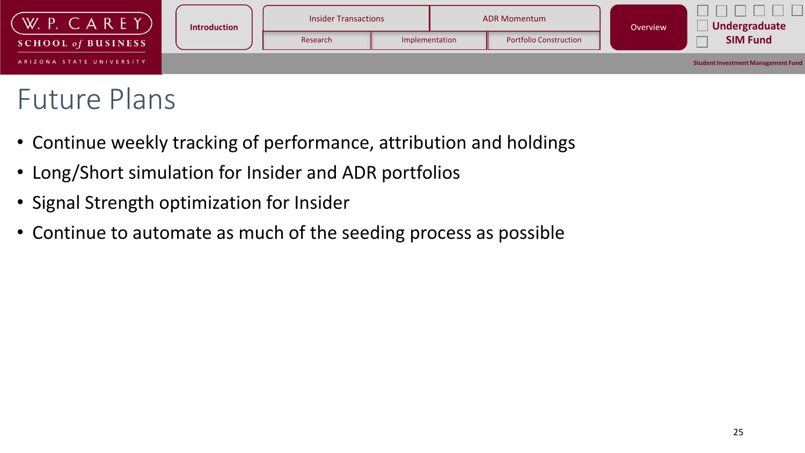

# Future Plans

- Continue weekly tracking of performance, attribution and holdings
- Long/Short simulation for Insider and ADR portfolios
- Signal Strength optimization for Insider
- Continue to automate as much of the seeding process as possible